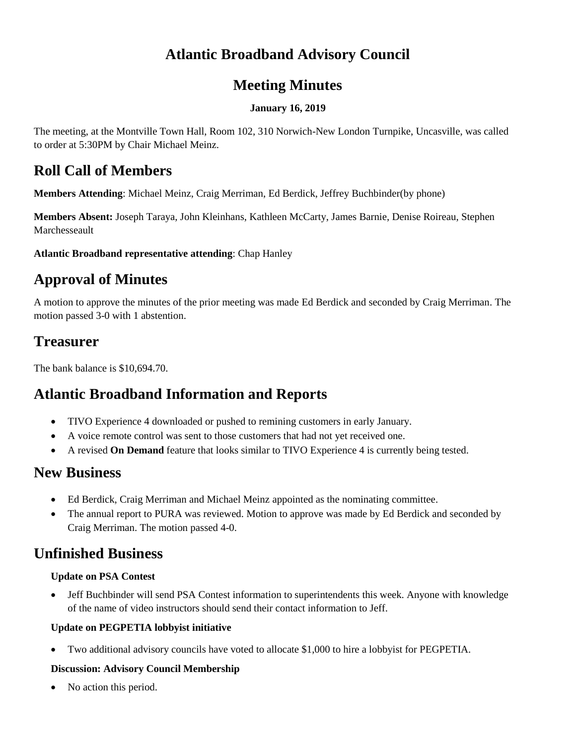## **Atlantic Broadband Advisory Council**

### **Meeting Minutes**

#### **January 16, 2019**

The meeting, at the Montville Town Hall, Room 102, 310 Norwich-New London Turnpike, Uncasville, was called to order at 5:30PM by Chair Michael Meinz.

### **Roll Call of Members**

**Members Attending**: Michael Meinz, Craig Merriman, Ed Berdick, Jeffrey Buchbinder(by phone)

**Members Absent:** Joseph Taraya, John Kleinhans, Kathleen McCarty, James Barnie, Denise Roireau, Stephen Marchesseault

**Atlantic Broadband representative attending**: Chap Hanley

# **Approval of Minutes**

A motion to approve the minutes of the prior meeting was made Ed Berdick and seconded by Craig Merriman. The motion passed 3-0 with 1 abstention.

### **Treasurer**

The bank balance is \$10,694.70.

## **Atlantic Broadband Information and Reports**

- TIVO Experience 4 downloaded or pushed to remining customers in early January.
- A voice remote control was sent to those customers that had not yet received one.
- A revised **On Demand** feature that looks similar to TIVO Experience 4 is currently being tested.

### **New Business**

- Ed Berdick, Craig Merriman and Michael Meinz appointed as the nominating committee.
- The annual report to PURA was reviewed. Motion to approve was made by Ed Berdick and seconded by Craig Merriman. The motion passed 4-0.

## **Unfinished Business**

#### **Update on PSA Contest**

• Jeff Buchbinder will send PSA Contest information to superintendents this week. Anyone with knowledge of the name of video instructors should send their contact information to Jeff.

#### **Update on PEGPETIA lobbyist initiative**

• Two additional advisory councils have voted to allocate \$1,000 to hire a lobbyist for PEGPETIA.

#### **Discussion: Advisory Council Membership**

No action this period.